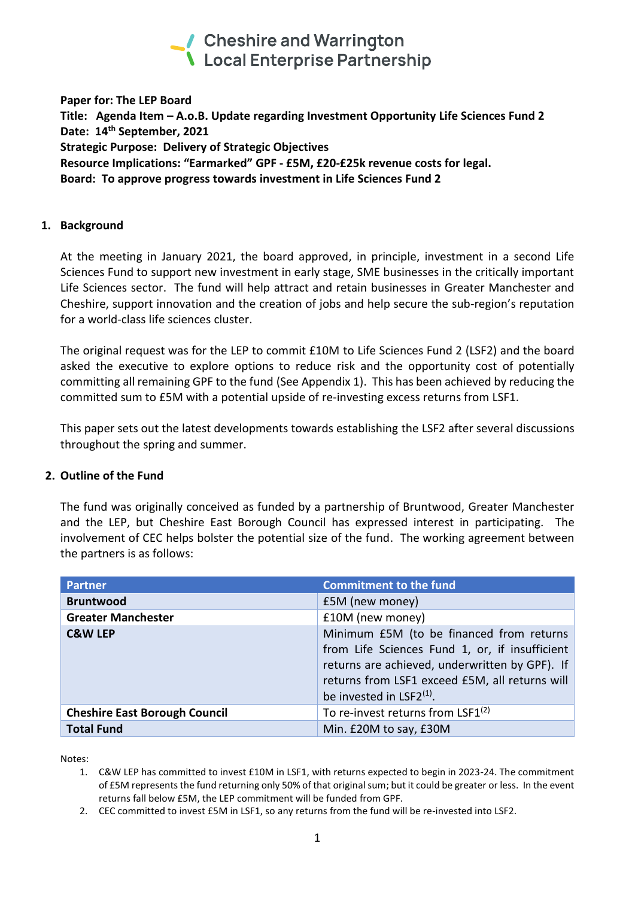

**Paper for: The LEP Board Title: Agenda Item – A.o.B. Update regarding Investment Opportunity Life Sciences Fund 2 Date: 14th September, 2021 Strategic Purpose: Delivery of Strategic Objectives Resource Implications: "Earmarked" GPF - £5M, £20-£25k revenue costs for legal. Board: To approve progress towards investment in Life Sciences Fund 2**

### **1. Background**

At the meeting in January 2021, the board approved, in principle, investment in a second Life Sciences Fund to support new investment in early stage, SME businesses in the critically important Life Sciences sector. The fund will help attract and retain businesses in Greater Manchester and Cheshire, support innovation and the creation of jobs and help secure the sub-region's reputation for a world-class life sciences cluster.

The original request was for the LEP to commit £10M to Life Sciences Fund 2 (LSF2) and the board asked the executive to explore options to reduce risk and the opportunity cost of potentially committing all remaining GPF to the fund (See Appendix 1). This has been achieved by reducing the committed sum to £5M with a potential upside of re-investing excess returns from LSF1.

This paper sets out the latest developments towards establishing the LSF2 after several discussions throughout the spring and summer.

### **2. Outline of the Fund**

The fund was originally conceived as funded by a partnership of Bruntwood, Greater Manchester and the LEP, but Cheshire East Borough Council has expressed interest in participating. The involvement of CEC helps bolster the potential size of the fund. The working agreement between the partners is as follows:

| <b>Partner</b>                       | <b>Commitment to the fund</b>                                                                                                                                                                                                   |
|--------------------------------------|---------------------------------------------------------------------------------------------------------------------------------------------------------------------------------------------------------------------------------|
| <b>Bruntwood</b>                     | £5M (new money)                                                                                                                                                                                                                 |
| <b>Greater Manchester</b>            | £10M (new money)                                                                                                                                                                                                                |
| <b>C&amp;W LEP</b>                   | Minimum £5M (to be financed from returns<br>from Life Sciences Fund 1, or, if insufficient<br>returns are achieved, underwritten by GPF). If<br>returns from LSF1 exceed £5M, all returns will<br>be invested in $LSF2^{(1)}$ . |
| <b>Cheshire East Borough Council</b> | To re-invest returns from LSF1 $(2)$                                                                                                                                                                                            |
| <b>Total Fund</b>                    | Min. £20M to say, £30M                                                                                                                                                                                                          |

Notes:

- 1. C&W LEP has committed to invest £10M in LSF1, with returns expected to begin in 2023-24. The commitment of £5M represents the fund returning only 50% of that original sum; but it could be greater or less. In the event returns fall below £5M, the LEP commitment will be funded from GPF.
- 2. CEC committed to invest £5M in LSF1, so any returns from the fund will be re-invested into LSF2.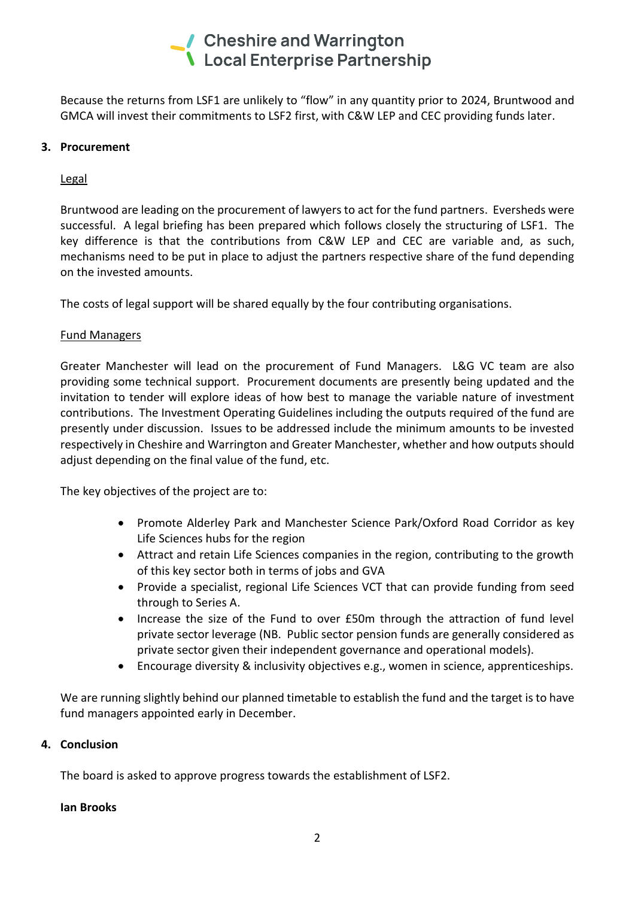# ✔ Cheshire and Warrington **\** Local Enterprise Partnership

Because the returns from LSF1 are unlikely to "flow" in any quantity prior to 2024, Bruntwood and GMCA will invest their commitments to LSF2 first, with C&W LEP and CEC providing funds later.

# **3. Procurement**

# Legal

Bruntwood are leading on the procurement of lawyers to act for the fund partners. Eversheds were successful. A legal briefing has been prepared which follows closely the structuring of LSF1. The key difference is that the contributions from C&W LEP and CEC are variable and, as such, mechanisms need to be put in place to adjust the partners respective share of the fund depending on the invested amounts.

The costs of legal support will be shared equally by the four contributing organisations.

## Fund Managers

Greater Manchester will lead on the procurement of Fund Managers. L&G VC team are also providing some technical support. Procurement documents are presently being updated and the invitation to tender will explore ideas of how best to manage the variable nature of investment contributions. The Investment Operating Guidelines including the outputs required of the fund are presently under discussion. Issues to be addressed include the minimum amounts to be invested respectively in Cheshire and Warrington and Greater Manchester, whether and how outputs should adjust depending on the final value of the fund, etc.

The key objectives of the project are to:

- Promote Alderley Park and Manchester Science Park/Oxford Road Corridor as key Life Sciences hubs for the region
- Attract and retain Life Sciences companies in the region, contributing to the growth of this key sector both in terms of jobs and GVA
- Provide a specialist, regional Life Sciences VCT that can provide funding from seed through to Series A.
- Increase the size of the Fund to over £50m through the attraction of fund level private sector leverage (NB. Public sector pension funds are generally considered as private sector given their independent governance and operational models).
- Encourage diversity & inclusivity objectives e.g., women in science, apprenticeships.

We are running slightly behind our planned timetable to establish the fund and the target is to have fund managers appointed early in December.

### **4. Conclusion**

The board is asked to approve progress towards the establishment of LSF2.

### **Ian Brooks**